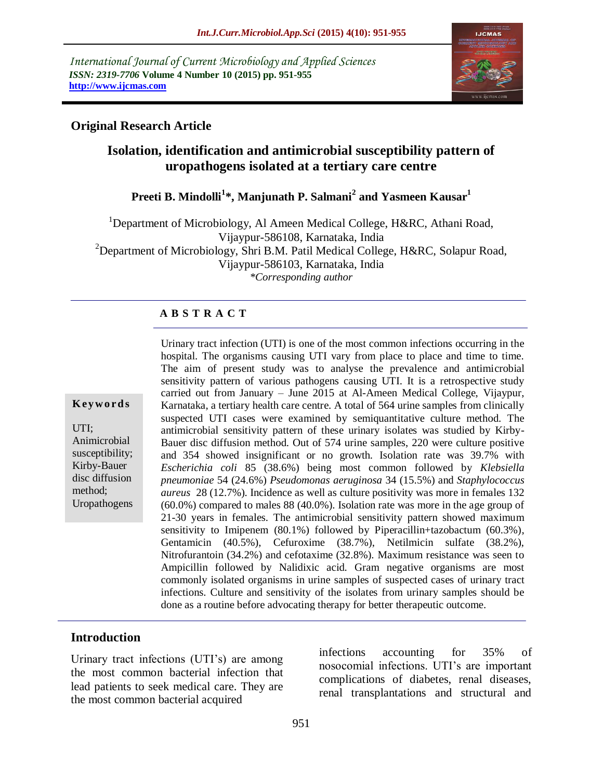*International Journal of Current Microbiology and Applied Sciences ISSN: 2319-7706* **Volume 4 Number 10 (2015) pp. 951-955 http://www.ijcmas.com** 



## **Original Research Article**

# **Isolation, identification and antimicrobial susceptibility pattern of uropathogens isolated at a tertiary care centre**

## **Preeti B. Mindolli<sup>1</sup> \*, Manjunath P. Salmani<sup>2</sup> and Yasmeen Kausar<sup>1</sup>**

<sup>1</sup>Department of Microbiology, Al Ameen Medical College, H&RC, Athani Road, Vijaypur-586108, Karnataka, India <sup>2</sup>Department of Microbiology, Shri B.M. Patil Medical College, H&RC, Solapur Road, Vijaypur-586103, Karnataka, India *\*Corresponding author*

#### **A B S T R A C T**

#### **K ey w o rd s**

UTI; Animicrobial susceptibility; Kirby-Bauer disc diffusion method; Uropathogens Urinary tract infection (UTI) is one of the most common infections occurring in the hospital. The organisms causing UTI vary from place to place and time to time. The aim of present study was to analyse the prevalence and antimicrobial sensitivity pattern of various pathogens causing UTI. It is a retrospective study carried out from January – June 2015 at Al-Ameen Medical College, Vijaypur, Karnataka, a tertiary health care centre. A total of 564 urine samples from clinically suspected UTI cases were examined by semiquantitative culture method. The antimicrobial sensitivity pattern of these urinary isolates was studied by Kirby-Bauer disc diffusion method. Out of 574 urine samples, 220 were culture positive and 354 showed insignificant or no growth. Isolation rate was 39.7% with *Escherichia coli* 85 (38.6%) being most common followed by *Klebsiella pneumoniae* 54 (24.6%) *Pseudomonas aeruginosa* 34 (15.5%) and *Staphylococcus aureus* 28 (12.7%). Incidence as well as culture positivity was more in females 132 (60.0%) compared to males 88 (40.0%). Isolation rate was more in the age group of 21-30 years in females. The antimicrobial sensitivity pattern showed maximum sensitivity to Imipenem (80.1%) followed by Piperacillin+tazobactum (60.3%), Gentamicin (40.5%), Cefuroxime (38.7%), Netilmicin sulfate (38.2%), Nitrofurantoin (34.2%) and cefotaxime (32.8%). Maximum resistance was seen to Ampicillin followed by Nalidixic acid. Gram negative organisms are most commonly isolated organisms in urine samples of suspected cases of urinary tract infections. Culture and sensitivity of the isolates from urinary samples should be done as a routine before advocating therapy for better therapeutic outcome.

### **Introduction**

Urinary tract infections (UTI's) are among the most common bacterial infection that lead patients to seek medical care. They are the most common bacterial acquired

infections accounting for 35% of nosocomial infections. UTI's are important complications of diabetes, renal diseases, renal transplantations and structural and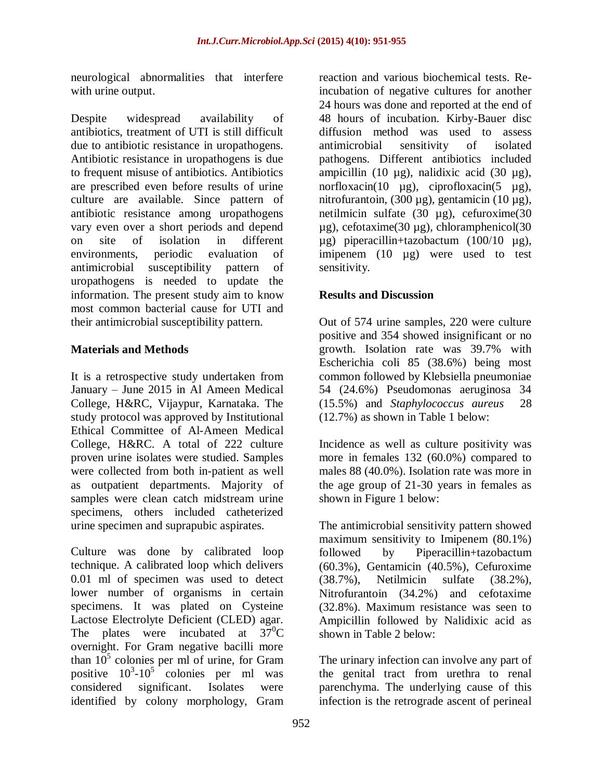neurological abnormalities that interfere with urine output.

Despite widespread availability of antibiotics, treatment of UTI is still difficult due to antibiotic resistance in uropathogens. Antibiotic resistance in uropathogens is due to frequent misuse of antibiotics. Antibiotics are prescribed even before results of urine culture are available. Since pattern of antibiotic resistance among uropathogens vary even over a short periods and depend on site of isolation in different environments, periodic evaluation of antimicrobial susceptibility pattern of uropathogens is needed to update the information. The present study aim to know most common bacterial cause for UTI and their antimicrobial susceptibility pattern.

### **Materials and Methods**

It is a retrospective study undertaken from January – June 2015 in Al Ameen Medical College, H&RC, Vijaypur, Karnataka. The study protocol was approved by Institutional Ethical Committee of Al-Ameen Medical College, H&RC. A total of 222 culture proven urine isolates were studied. Samples were collected from both in-patient as well as outpatient departments. Majority of samples were clean catch midstream urine specimens, others included catheterized urine specimen and suprapubic aspirates.

Culture was done by calibrated loop technique. A calibrated loop which delivers 0.01 ml of specimen was used to detect lower number of organisms in certain specimens. It was plated on Cysteine Lactose Electrolyte Deficient (CLED) agar. The plates were incubated at  $37^0$ C overnight. For Gram negative bacilli more than  $10^5$  colonies per ml of urine, for Gram positive  $10^3$ - $10^5$  colonies per ml was considered significant. Isolates were identified by colony morphology, Gram

reaction and various biochemical tests. Reincubation of negative cultures for another 24 hours was done and reported at the end of 48 hours of incubation. Kirby-Bauer disc diffusion method was used to assess antimicrobial sensitivity of isolated pathogens. Different antibiotics included ampicillin (10 µg), nalidixic acid (30 µg), norfloxacin(10  $\mu$ g), ciprofloxacin(5  $\mu$ g), nitrofurantoin, (300 µg), gentamicin (10 µg), netilmicin sulfate (30 µg), cefuroxime(30 µg), cefotaxime(30 µg), chloramphenicol(30 µg) piperacillin+tazobactum (100/10 µg), imipenem (10 µg) were used to test sensitivity.

## **Results and Discussion**

Out of 574 urine samples, 220 were culture positive and 354 showed insignificant or no growth. Isolation rate was 39.7% with Escherichia coli 85 (38.6%) being most common followed by Klebsiella pneumoniae 54 (24.6%) Pseudomonas aeruginosa 34 (15.5%) and *Staphylococcus aureus* 28 (12.7%) as shown in Table 1 below:

Incidence as well as culture positivity was more in females 132 (60.0%) compared to males 88 (40.0%). Isolation rate was more in the age group of 21-30 years in females as shown in Figure 1 below:

The antimicrobial sensitivity pattern showed maximum sensitivity to Imipenem (80.1%) followed by Piperacillin+tazobactum (60.3%), Gentamicin (40.5%), Cefuroxime (38.7%), Netilmicin sulfate (38.2%), Nitrofurantoin (34.2%) and cefotaxime (32.8%). Maximum resistance was seen to Ampicillin followed by Nalidixic acid as shown in Table 2 below:

The urinary infection can involve any part of the genital tract from urethra to renal parenchyma. The underlying cause of this infection is the retrograde ascent of perineal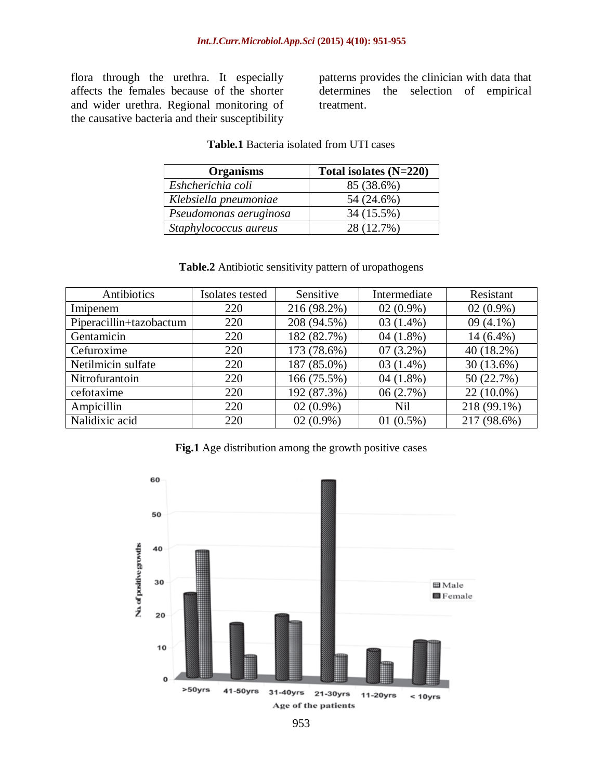flora through the urethra. It especially affects the females because of the shorter and wider urethra. Regional monitoring of the causative bacteria and their susceptibility patterns provides the clinician with data that determines the selection of empirical treatment.

| <b>Organisms</b>       | Total isolates $(N=220)$ |
|------------------------|--------------------------|
| Eshcherichia coli      | 85 (38.6%)               |
| Klebsiella pneumoniae  | 54 (24.6%)               |
| Pseudomonas aeruginosa | 34 (15.5%)               |
| Staphylococcus aureus  | 28 (12.7%)               |

#### **Table.1** Bacteria isolated from UTI cases

| <b>rapie.</b> Allubroux schsitivity pattern of uropathogens |                 |             |              |             |  |
|-------------------------------------------------------------|-----------------|-------------|--------------|-------------|--|
| Antibiotics                                                 | Isolates tested | Sensitive   | Intermediate | Resistant   |  |
| Imipenem                                                    | 220             | 216 (98.2%) | $02(0.9\%)$  | $02(0.9\%)$ |  |
| Piperacillin+tazobactum                                     | 220             | 208 (94.5%) | $03(1.4\%)$  | $09(4.1\%)$ |  |
| Gentamicin                                                  | 220             | 182 (82.7%) | $04(1.8\%)$  | $14(6.4\%)$ |  |
| Cefuroxime                                                  | 220             | 173 (78.6%) | $07(3.2\%)$  | 40 (18.2%)  |  |
| Netilmicin sulfate                                          | 220             | 187 (85.0%) | $03(1.4\%)$  | 30(13.6%)   |  |
| Nitrofurantoin                                              | 220             | 166 (75.5%) | 04 $(1.8\%)$ | 50 (22.7%)  |  |
| cefotaxime                                                  | 220             | 192 (87.3%) | 06(2.7%)     | 22 (10.0%)  |  |
| Ampicillin                                                  | 220             | $02(0.9\%)$ | <b>Nil</b>   | 218 (99.1%) |  |
| Nalidixic acid                                              | 220             | $02(0.9\%)$ | $01(0.5\%)$  | 217 (98.6%) |  |

#### **Table.2** Antibiotic sensitivity pattern of uropathogens

**Fig.1** Age distribution among the growth positive cases

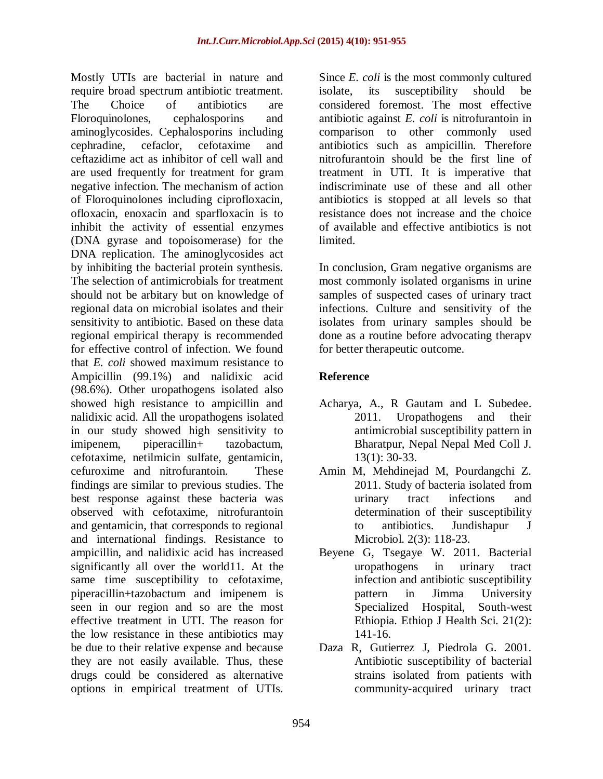Mostly UTIs are bacterial in nature and require broad spectrum antibiotic treatment. The Choice of antibiotics are Floroquinolones, cephalosporins and aminoglycosides. Cephalosporins including cephradine, cefaclor, cefotaxime and ceftazidime act as inhibitor of cell wall and are used frequently for treatment for gram negative infection. The mechanism of action of Floroquinolones including ciprofloxacin, ofloxacin, enoxacin and sparfloxacin is to inhibit the activity of essential enzymes (DNA gyrase and topoisomerase) for the DNA replication. The aminoglycosides act by inhibiting the bacterial protein synthesis. The selection of antimicrobials for treatment should not be arbitary but on knowledge of regional data on microbial isolates and their sensitivity to antibiotic. Based on these data regional empirical therapy is recommended for effective control of infection. We found that *E. coli* showed maximum resistance to Ampicillin (99.1%) and nalidixic acid (98.6%). Other uropathogens isolated also showed high resistance to ampicillin and nalidixic acid. All the uropathogens isolated in our study showed high sensitivity to imipenem, piperacillin+ tazobactum, cefotaxime, netilmicin sulfate, gentamicin, cefuroxime and nitrofurantoin. These findings are similar to previous studies. The best response against these bacteria was observed with cefotaxime, nitrofurantoin and gentamicin, that corresponds to regional and international findings. Resistance to ampicillin, and nalidixic acid has increased significantly all over the world11. At the same time susceptibility to cefotaxime, piperacillin+tazobactum and imipenem is seen in our region and so are the most effective treatment in UTI. The reason for the low resistance in these antibiotics may be due to their relative expense and because they are not easily available. Thus, these drugs could be considered as alternative options in empirical treatment of UTIs.

Since *E. coli* is the most commonly cultured isolate, its susceptibility should be considered foremost. The most effective antibiotic against *E. coli* is nitrofurantoin in comparison to other commonly used antibiotics such as ampicillin. Therefore nitrofurantoin should be the first line of treatment in UTI. It is imperative that indiscriminate use of these and all other antibiotics is stopped at all levels so that resistance does not increase and the choice of available and effective antibiotics is not limited.

In conclusion, Gram negative organisms are most commonly isolated organisms in urine samples of suspected cases of urinary tract infections. Culture and sensitivity of the isolates from urinary samples should be done as a routine before advocating therapv for better therapeutic outcome.

## **Reference**

- Acharya, A., R Gautam and L Subedee. 2011. Uropathogens and their antimicrobial susceptibility pattern in Bharatpur, Nepal Nepal Med Coll J. 13(1): 30-33.
- Amin M, Mehdinejad M, Pourdangchi Z. 2011. Study of bacteria isolated from urinary tract infections and determination of their susceptibility to antibiotics. Jundishapur J Microbiol. 2(3): 118-23.
- Beyene G, Tsegaye W. 2011. Bacterial uropathogens in urinary tract infection and antibiotic susceptibility pattern in Jimma University Specialized Hospital, South-west Ethiopia. Ethiop J Health Sci. 21(2): 141-16.
- Daza R, Gutierrez J, Piedrola G. 2001. Antibiotic susceptibility of bacterial strains isolated from patients with community-acquired urinary tract